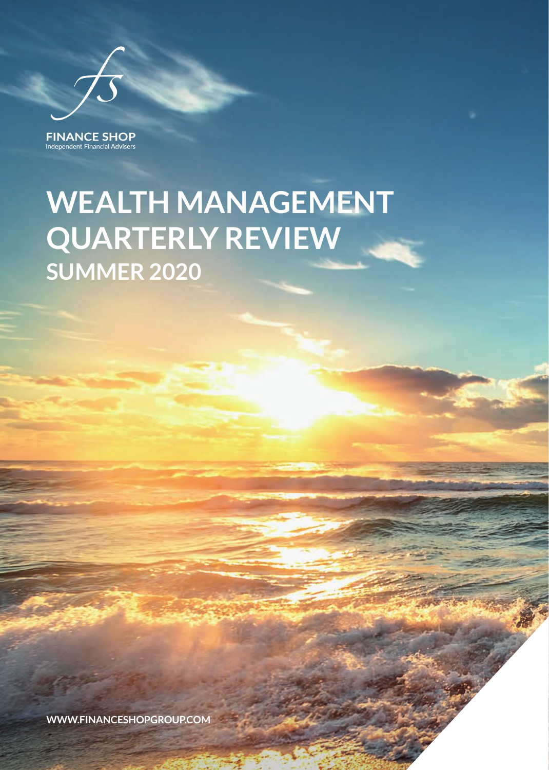**FINANCE SHOP** Independent Financial Advisers

## **WEALTH MANAGEMENT QUARTERLY REVIEW SUMMER 2020**

**WWW.FINANCESHOPGROUP.COM**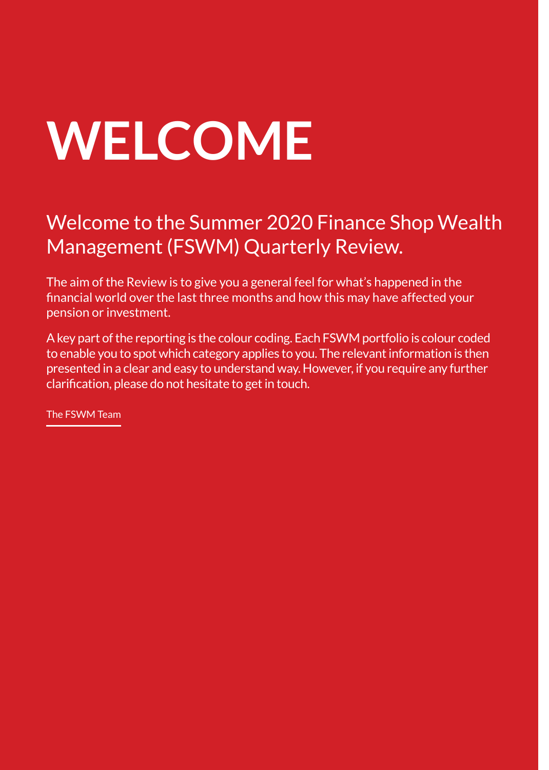# **WELCOME**

## Welcome to the Summer 2020 Finance Shop Wealth Management (FSWM) Quarterly Review.

The aim of the Review is to give you a general feel for what's happened in the financial world over the last three months and how this may have affected your pension or investment.

A key part of the reporting is the colour coding. Each FSWM portfolio is colour coded to enable you to spot which category applies to you. The relevant information is then presented in a clear and easy to understand way. However, if you require any further clarification, please do not hesitate to get in touch.

The FSWM Team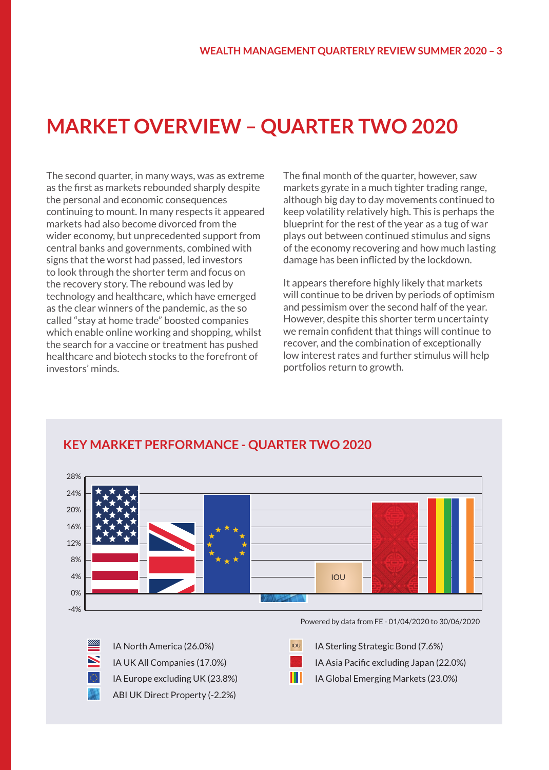## **MARKET OVERVIEW – QUARTER TWO 2020**

The second quarter, in many ways, was as extreme as the first as markets rebounded sharply despite the personal and economic consequences continuing to mount. In many respects it appeared markets had also become divorced from the wider economy, but unprecedented support from central banks and governments, combined with signs that the worst had passed, led investors to look through the shorter term and focus on the recovery story. The rebound was led by technology and healthcare, which have emerged as the clear winners of the pandemic, as the so called "stay at home trade" boosted companies which enable online working and shopping, whilst the search for a vaccine or treatment has pushed healthcare and biotech stocks to the forefront of investors' minds.

The final month of the quarter, however, saw markets gyrate in a much tighter trading range, although big day to day movements continued to keep volatility relatively high. This is perhaps the blueprint for the rest of the year as a tug of war plays out between continued stimulus and signs of the economy recovering and how much lasting damage has been inflicted by the lockdown.

It appears therefore highly likely that markets will continue to be driven by periods of optimism and pessimism over the second half of the year. However, despite this shorter term uncertainty we remain confident that things will continue to recover, and the combination of exceptionally low interest rates and further stimulus will help portfolios return to growth.



#### **KEY MARKET PERFORMANCE - QUARTER TWO 2020**

IA Europe excluding UK (23.8%) ABI UK Direct Property (-2.2%) IA North America (26.0%) IA UK All Companies (17.0%)

Powered by data from FE - 01/04/2020 to 30/06/2020

**IOU** IA Sterling Strategic Bond (7.6%)

IA Asia Pacific excluding Japan (22.0%)

Ш IA Global Emerging Markets (23.0%)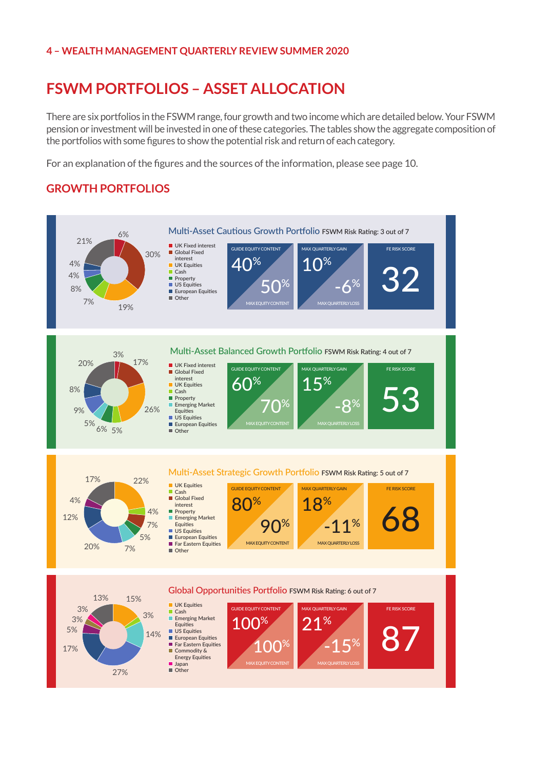#### **4 – WEALTH MANAGEMENT QUARTERLY REVIEW SUMMER 2020**

## **FSWM PORTFOLIOS – ASSET ALLOCATION**

There are six portfolios in the FSWM range, four growth and two income which are detailed below. Your FSWM **FINANCE SHOP WEALTH MANAGEMENT – FEBRUARY 2020** pension or investment will be invested in one of these categories. The tables show the aggregate composition of the portfolios with some figures to show the potential risk and return of each category.

For an explanation of the figures and the sources of the information, please see page 10. **ADVISORY PORTFOLIO MANAGEMENT SERVICE** 

#### **GROWTH PORTFOLIOS**

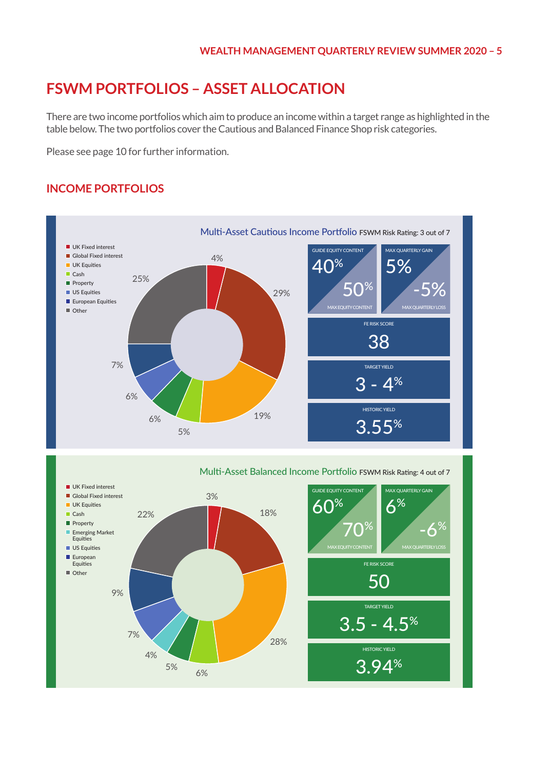3.94% 3.94%

HISTORIC YIELD

## **FSWM PORTFOLIOS – ASSET ALLOCATION**

There are two income portfolios which aim to produce an income within a target range as highlighted in the table below. The two portfolios cover the Cautious and Balanced Finance Shop risk categories.

Please see page 10 for further information.

#### **INCOME PORTFOLIOS**



6% 5% 6% 5%

4% 4%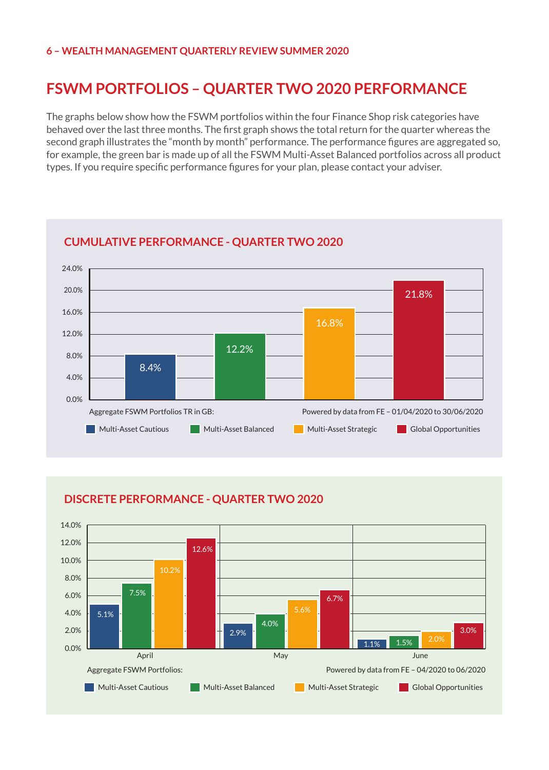#### **6 – WEALTH MANAGEMENT QUARTERLY REVIEW SUMMER 2020**

## **FSWM PORTFOLIOS – QUARTER TWO 2020 PERFORMANCE**

The graphs below show how the FSWM portfolios within the four Finance Shop risk categories have behaved over the last three months. The first graph shows the total return for the quarter whereas the second graph illustrates the "month by month" performance. The performance figures are aggregated so, for example, the green bar is made up of all the FSWM Multi-Asset Balanced portfolios across all product types. If you require specific performance figures for your plan, please contact your adviser.



#### **CUMULATIVE PERFORMANCE - QUARTER TWO 2020**



#### **DISCRETE PERFORMANCE - QUARTER TWO 2020**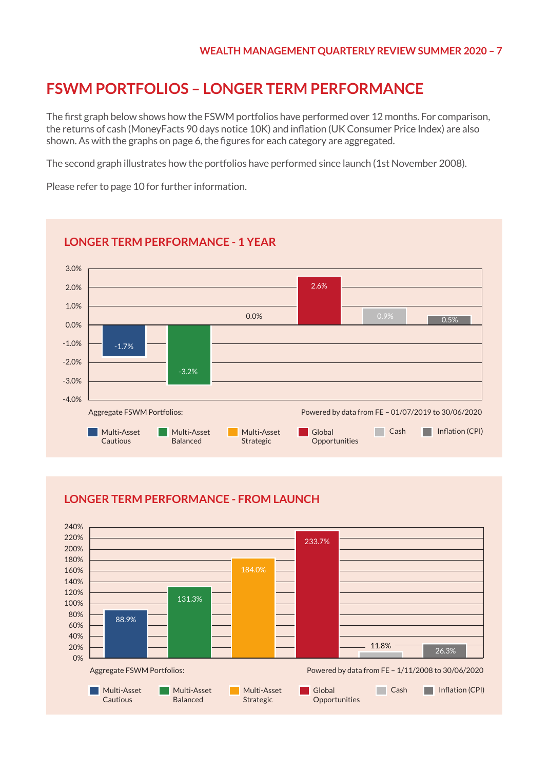## **FSWM PORTFOLIOS – LONGER TERM PERFORMANCE**

The first graph below shows how the FSWM portfolios have performed over 12 months. For comparison, the returns of cash (MoneyFacts 90 days notice 10K) and inflation (UK Consumer Price Index) are also shown. As with the graphs on page 6, the figures for each category are aggregated.

The second graph illustrates how the portfolios have performed since launch (1st November 2008).

Please refer to page 10 for further information.



#### **LONGER TERM PERFORMANCE - 1 YEAR**

#### **LONGER TERM PERFORMANCE - FROM LAUNCH**

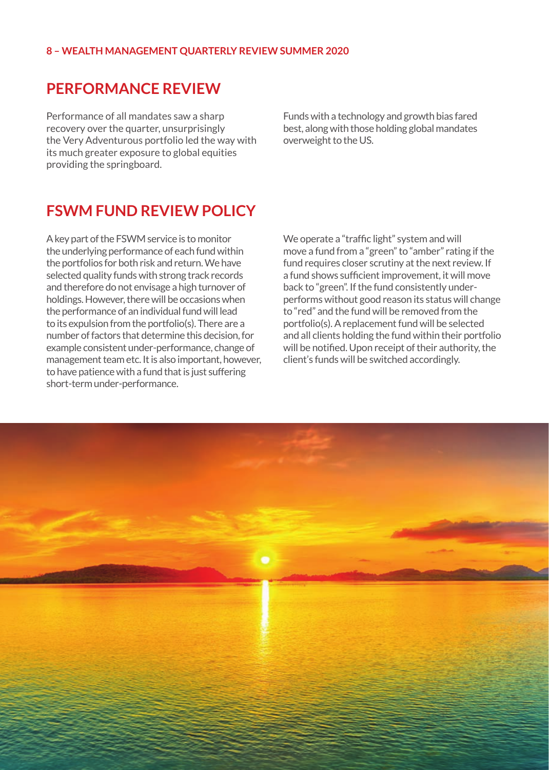#### **8 – WEALTH MANAGEMENT QUARTERLY REVIEW SUMMER 2020**

#### **PERFORMANCE REVIEW**

Performance of all mandates saw a sharp recovery over the quarter, unsurprisingly the Very Adventurous portfolio led the way with its much greater exposure to global equities providing the springboard.

Funds with a technology and growth bias fared best, along with those holding global mandates overweight to the US.

### **FSWM FUND REVIEW POLICY**

A key part of the FSWM service is to monitor the underlying performance of each fund within the portfolios for both risk and return. We have selected quality funds with strong track records and therefore do not envisage a high turnover of holdings. However, there will be occasions when the performance of an individual fund will lead to its expulsion from the portfolio(s). There are a number of factors that determine this decision, for example consistent under-performance, change of management team etc. It is also important, however, to have patience with a fund that is just suffering short-term under-performance.

We operate a "traffic light" system and will move a fund from a "green" to "amber" rating if the fund requires closer scrutiny at the next review. If a fund shows sufficient improvement, it will move back to "green". If the fund consistently underperforms without good reason its status will change to "red" and the fund will be removed from the portfolio(s). A replacement fund will be selected and all clients holding the fund within their portfolio will be notified. Upon receipt of their authority, the client's funds will be switched accordingly.

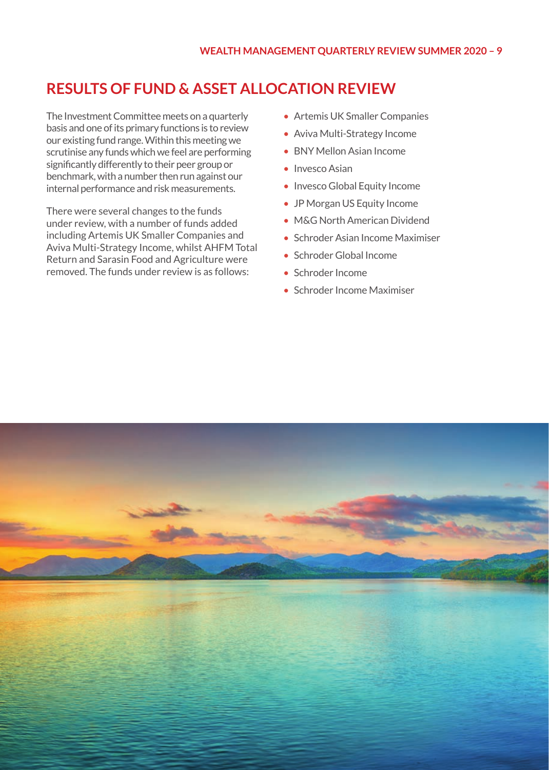## **RESULTS OF FUND & ASSET ALLOCATION REVIEW**

The Investment Committee meets on a quarterly basis and one of its primary functions is to review our existing fund range. Within this meeting we scrutinise any funds which we feel are performing significantly differently to their peer group or benchmark, with a number then run against our internal performance and risk measurements.

There were several changes to the funds under review, with a number of funds added including Artemis UK Smaller Companies and Aviva Multi-Strategy Income, whilst AHFM Total Return and Sarasin Food and Agriculture were removed. The funds under review is as follows:

- Artemis UK Smaller Companies
- Aviva Multi-Strategy Income
- BNY Mellon Asian Income
- Invesco Asian
- Invesco Global Equity Income
- JP Morgan US Equity Income
- M&G North American Dividend
- Schroder Asian Income Maximiser
- Schroder Global Income
- Schroder Income
- Schroder Income Maximiser

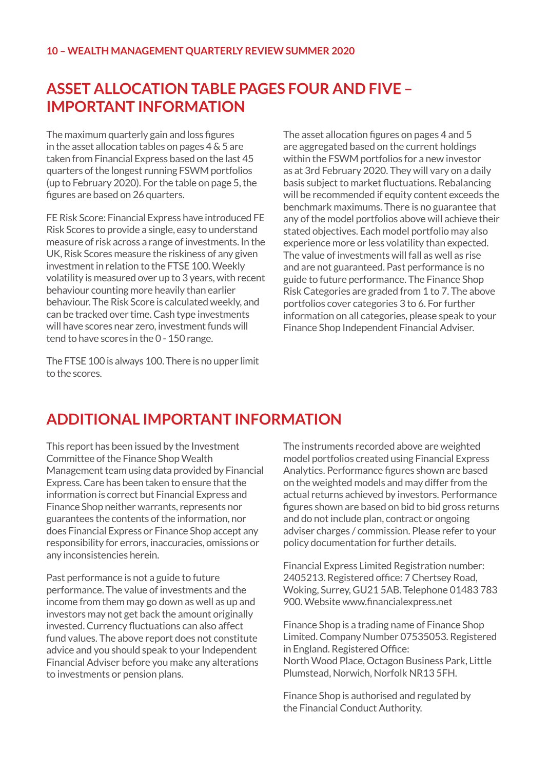## **ASSET ALLOCATION TABLE PAGES FOUR AND FIVE – IMPORTANT INFORMATION**

The maximum quarterly gain and loss figures in the asset allocation tables on pages 4 & 5 are taken from Financial Express based on the last 45 quarters of the longest running FSWM portfolios (up to February 2020). For the table on page 5, the figures are based on 26 quarters.

FE Risk Score: Financial Express have introduced FE Risk Scores to provide a single, easy to understand measure of risk across a range of investments. In the UK, Risk Scores measure the riskiness of any given investment in relation to the FTSE 100. Weekly volatility is measured over up to 3 years, with recent behaviour counting more heavily than earlier behaviour. The Risk Score is calculated weekly, and can be tracked over time. Cash type investments will have scores near zero, investment funds will tend to have scores in the 0 - 150 range.

The FTSE 100 is always 100. There is no upper limit to the scores.

The asset allocation figures on pages 4 and 5 are aggregated based on the current holdings within the FSWM portfolios for a new investor as at 3rd February 2020. They will vary on a daily basis subject to market fluctuations. Rebalancing will be recommended if equity content exceeds the benchmark maximums. There is no guarantee that any of the model portfolios above will achieve their stated objectives. Each model portfolio may also experience more or less volatility than expected. The value of investments will fall as well as rise and are not guaranteed. Past performance is no guide to future performance. The Finance Shop Risk Categories are graded from 1 to 7. The above portfolios cover categories 3 to 6. For further information on all categories, please speak to your Finance Shop Independent Financial Adviser.

## **ADDITIONAL IMPORTANT INFORMATION**

This report has been issued by the Investment Committee of the Finance Shop Wealth Management team using data provided by Financial Express. Care has been taken to ensure that the information is correct but Financial Express and Finance Shop neither warrants, represents nor guarantees the contents of the information, nor does Financial Express or Finance Shop accept any responsibility for errors, inaccuracies, omissions or any inconsistencies herein.

Past performance is not a guide to future performance. The value of investments and the income from them may go down as well as up and investors may not get back the amount originally invested. Currency fluctuations can also affect fund values. The above report does not constitute advice and you should speak to your Independent Financial Adviser before you make any alterations to investments or pension plans.

The instruments recorded above are weighted model portfolios created using Financial Express Analytics. Performance figures shown are based on the weighted models and may differ from the actual returns achieved by investors. Performance figures shown are based on bid to bid gross returns and do not include plan, contract or ongoing adviser charges / commission. Please refer to your policy documentation for further details.

Financial Express Limited Registration number: 2405213. Registered office: 7 Chertsey Road, Woking, Surrey, GU21 5AB. Telephone 01483 783 900. Website www.financialexpress.net

Finance Shop is a trading name of Finance Shop Limited. Company Number 07535053. Registered in England. Registered Office: North Wood Place, Octagon Business Park, Little Plumstead, Norwich, Norfolk NR13 5FH.

Finance Shop is authorised and regulated by the Financial Conduct Authority.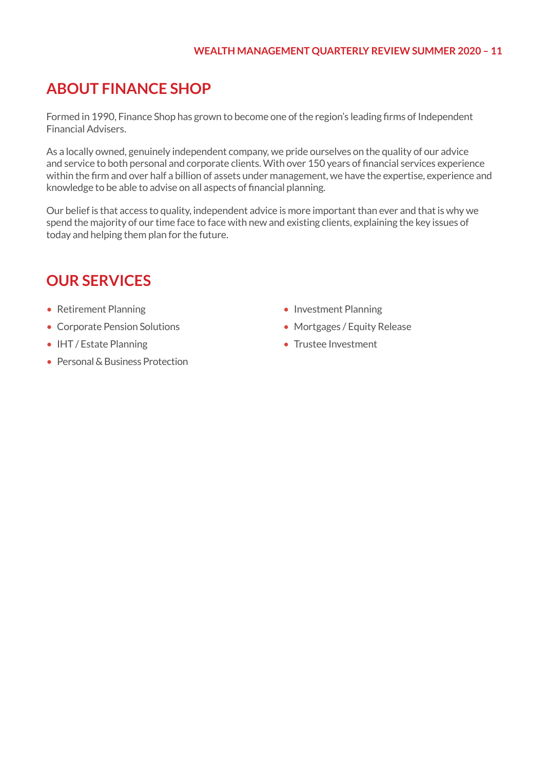#### **WEALTH MANAGEMENT QUARTERLY REVIEW SUMMER 2020 – 11**

## **ABOUT FINANCE SHOP**

Formed in 1990, Finance Shop has grown to become one of the region's leading firms of Independent Financial Advisers.

As a locally owned, genuinely independent company, we pride ourselves on the quality of our advice and service to both personal and corporate clients. With over 150 years of financial services experience within the firm and over half a billion of assets under management, we have the expertise, experience and knowledge to be able to advise on all aspects of financial planning.

Our belief is that access to quality, independent advice is more important than ever and that is why we spend the majority of our time face to face with new and existing clients, explaining the key issues of today and helping them plan for the future.

## **OUR SERVICES**

- Retirement Planning
- Corporate Pension Solutions
- IHT / Estate Planning
- Personal & Business Protection
- Investment Planning
- Mortgages / Equity Release
- Trustee Investment